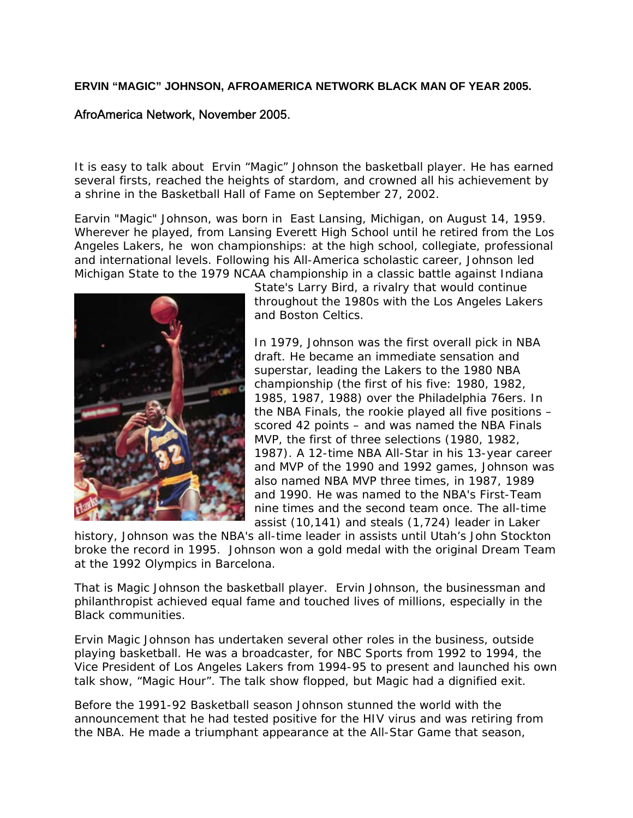## **ERVIN "MAGIC" JOHNSON, AFROAMERICA NETWORK BLACK MAN OF YEAR 2005.**

## AfroAmerica Network, November 2005.

It is easy to talk about Ervin "Magic" Johnson the basketball player. He has earned several firsts, reached the heights of stardom, and crowned all his achievement by a shrine in the Basketball Hall of Fame on September 27, 2002.

Earvin "Magic" Johnson, was born in East Lansing, Michigan, on August 14, 1959. Wherever he played, from Lansing Everett High School until he retired from the Los Angeles Lakers, he won championships: at the high school, collegiate, professional and international levels. Following his All-America scholastic career, Johnson led Michigan State to the 1979 NCAA championship in a classic battle against Indiana



State's Larry Bird, a rivalry that would continue throughout the 1980s with the Los Angeles Lakers and Boston Celtics.

In 1979, Johnson was the first overall pick in NBA draft. He became an immediate sensation and superstar, leading the Lakers to the 1980 NBA championship (the first of his five: 1980, 1982, 1985, 1987, 1988) over the Philadelphia 76ers. In the NBA Finals, the rookie played all five positions – scored 42 points – and was named the NBA Finals MVP, the first of three selections (1980, 1982, 1987). A 12-time NBA All-Star in his 13-year career and MVP of the 1990 and 1992 games, Johnson was also named NBA MVP three times, in 1987, 1989 and 1990. He was named to the NBA's First-Team nine times and the second team once. The all-time assist (10,141) and steals (1,724) leader in Laker

history, Johnson was the NBA's all-time leader in assists until Utah's John Stockton broke the record in 1995. Johnson won a gold medal with the original Dream Team at the 1992 Olympics in Barcelona.

That is Magic Johnson the basketball player. Ervin Johnson, the businessman and philanthropist achieved equal fame and touched lives of millions, especially in the Black communities.

Ervin Magic Johnson has undertaken several other roles in the business, outside playing basketball. He was a broadcaster, for NBC Sports from 1992 to 1994, the Vice President of Los Angeles Lakers from 1994-95 to present and launched his own talk show, "Magic Hour". The talk show flopped, but Magic had a dignified exit.

Before the 1991-92 Basketball season Johnson stunned the world with the announcement that he had tested positive for the HIV virus and was retiring from the NBA. He made a triumphant appearance at the All-Star Game that season,